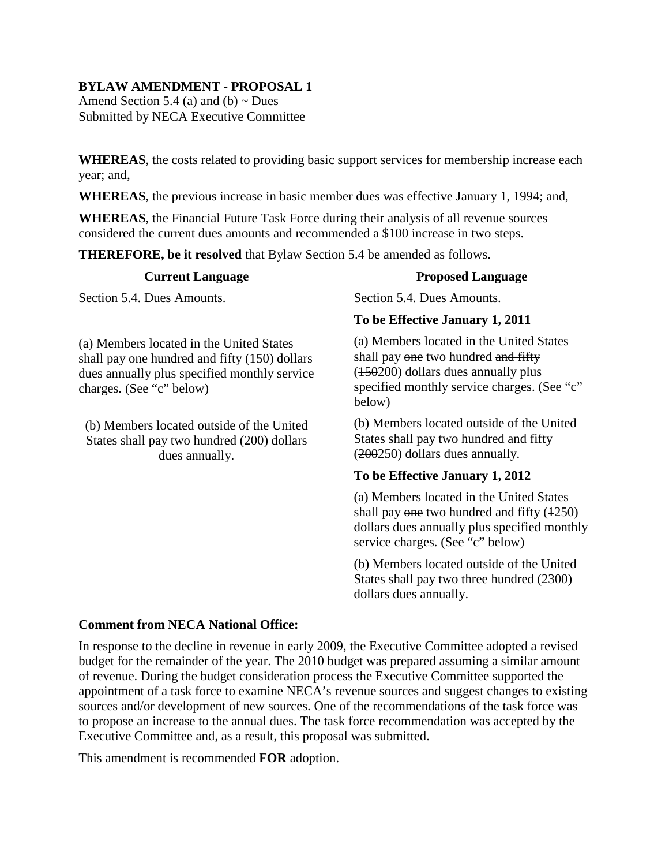## **BYLAW AMENDMENT - PROPOSAL 1**

Amend Section 5.4 (a) and (b)  $\sim$  Dues Submitted by NECA Executive Committee

**WHEREAS**, the costs related to providing basic support services for membership increase each year; and,

**WHEREAS**, the previous increase in basic member dues was effective January 1, 1994; and,

**WHEREAS**, the Financial Future Task Force during their analysis of all revenue sources considered the current dues amounts and recommended a \$100 increase in two steps.

**THEREFORE, be it resolved** that Bylaw Section 5.4 be amended as follows.

### **Current Language**

Section 5.4. Dues Amounts.

(a) Members located in the United States shall pay one hundred and fifty (150) dollars dues annually plus specified monthly service charges. (See "c" below)

(b) Members located outside of the United States shall pay two hundred (200) dollars dues annually.

#### **Proposed Language**

Section 5.4. Dues Amounts.

### **To be Effective January 1, 2011**

(a) Members located in the United States shall pay one two hundred and fifty ( $\frac{150200}{150200}$  dollars dues annually plus specified monthly service charges. (See "c" below)

(b) Members located outside of the United States shall pay two hundred and fifty  $(200250)$  dollars dues annually.

## **To be Effective January 1, 2012**

(a) Members located in the United States shall pay  $\Theta$  one two hundred and fifty  $(1250)$ dollars dues annually plus specified monthly service charges. (See "c" below)

(b) Members located outside of the United States shall pay two three hundred (2300) dollars dues annually.

### **Comment from NECA National Office:**

In response to the decline in revenue in early 2009, the Executive Committee adopted a revised budget for the remainder of the year. The 2010 budget was prepared assuming a similar amount of revenue. During the budget consideration process the Executive Committee supported the appointment of a task force to examine NECA's revenue sources and suggest changes to existing sources and/or development of new sources. One of the recommendations of the task force was to propose an increase to the annual dues. The task force recommendation was accepted by the Executive Committee and, as a result, this proposal was submitted.

This amendment is recommended **FOR** adoption.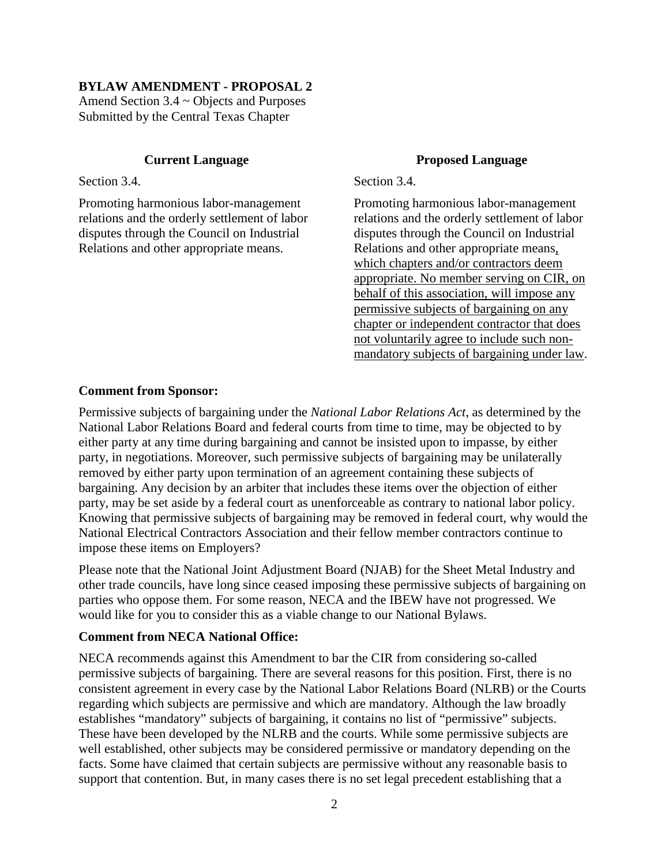#### **BYLAW AMENDMENT - PROPOSAL 2**

Amend Section 3.4 ~ Objects and Purposes Submitted by the Central Texas Chapter

#### **Current Language**

Section 3.4.

Promoting harmonious labor-management relations and the orderly settlement of labor disputes through the Council on Industrial Relations and other appropriate means.

#### **Proposed Language**

Section 3.4.

Promoting harmonious labor-management relations and the orderly settlement of labor disputes through the Council on Industrial Relations and other appropriate means, which chapters and/or contractors deem appropriate. No member serving on CIR, on behalf of this association, will impose any permissive subjects of bargaining on any chapter or independent contractor that does not voluntarily agree to include such nonmandatory subjects of bargaining under law.

#### **Comment from Sponsor:**

Permissive subjects of bargaining under the *National Labor Relations Act*, as determined by the National Labor Relations Board and federal courts from time to time, may be objected to by either party at any time during bargaining and cannot be insisted upon to impasse, by either party, in negotiations. Moreover, such permissive subjects of bargaining may be unilaterally removed by either party upon termination of an agreement containing these subjects of bargaining. Any decision by an arbiter that includes these items over the objection of either party, may be set aside by a federal court as unenforceable as contrary to national labor policy. Knowing that permissive subjects of bargaining may be removed in federal court, why would the National Electrical Contractors Association and their fellow member contractors continue to impose these items on Employers?

Please note that the National Joint Adjustment Board (NJAB) for the Sheet Metal Industry and other trade councils, have long since ceased imposing these permissive subjects of bargaining on parties who oppose them. For some reason, NECA and the IBEW have not progressed. We would like for you to consider this as a viable change to our National Bylaws.

#### **Comment from NECA National Office:**

NECA recommends against this Amendment to bar the CIR from considering so-called permissive subjects of bargaining. There are several reasons for this position. First, there is no consistent agreement in every case by the National Labor Relations Board (NLRB) or the Courts regarding which subjects are permissive and which are mandatory. Although the law broadly establishes "mandatory" subjects of bargaining, it contains no list of "permissive" subjects. These have been developed by the NLRB and the courts. While some permissive subjects are well established, other subjects may be considered permissive or mandatory depending on the facts. Some have claimed that certain subjects are permissive without any reasonable basis to support that contention. But, in many cases there is no set legal precedent establishing that a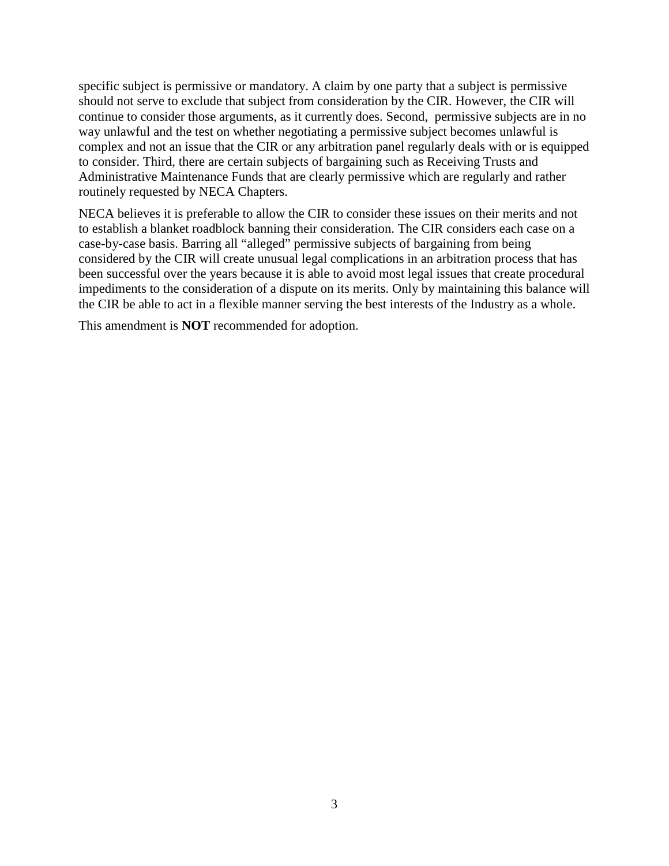specific subject is permissive or mandatory. A claim by one party that a subject is permissive should not serve to exclude that subject from consideration by the CIR. However, the CIR will continue to consider those arguments, as it currently does. Second, permissive subjects are in no way unlawful and the test on whether negotiating a permissive subject becomes unlawful is complex and not an issue that the CIR or any arbitration panel regularly deals with or is equipped to consider. Third, there are certain subjects of bargaining such as Receiving Trusts and Administrative Maintenance Funds that are clearly permissive which are regularly and rather routinely requested by NECA Chapters.

NECA believes it is preferable to allow the CIR to consider these issues on their merits and not to establish a blanket roadblock banning their consideration. The CIR considers each case on a case-by-case basis. Barring all "alleged" permissive subjects of bargaining from being considered by the CIR will create unusual legal complications in an arbitration process that has been successful over the years because it is able to avoid most legal issues that create procedural impediments to the consideration of a dispute on its merits. Only by maintaining this balance will the CIR be able to act in a flexible manner serving the best interests of the Industry as a whole.

This amendment is **NOT** recommended for adoption.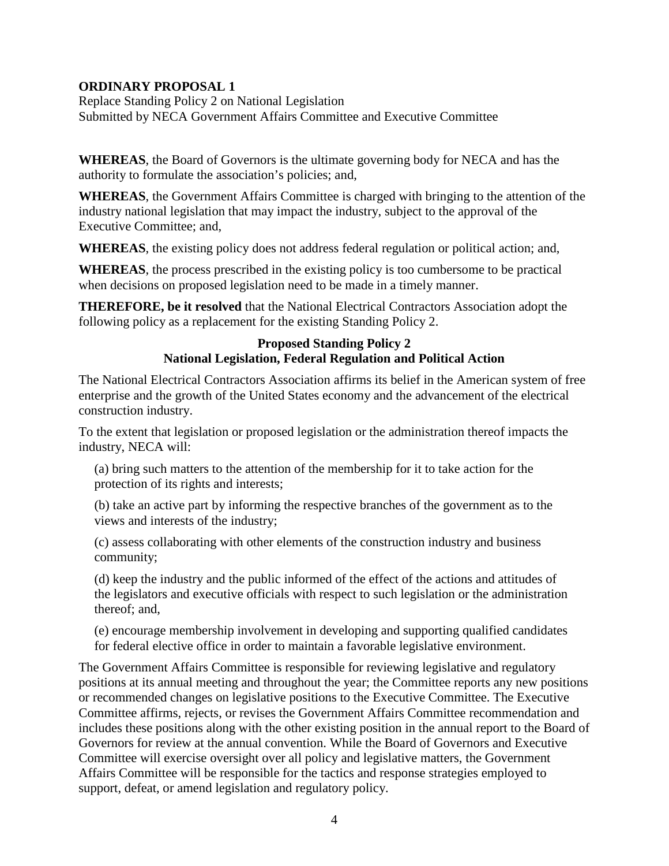## **ORDINARY PROPOSAL 1**

Replace Standing Policy 2 on National Legislation Submitted by NECA Government Affairs Committee and Executive Committee

**WHEREAS**, the Board of Governors is the ultimate governing body for NECA and has the authority to formulate the association's policies; and,

**WHEREAS**, the Government Affairs Committee is charged with bringing to the attention of the industry national legislation that may impact the industry, subject to the approval of the Executive Committee; and,

**WHEREAS**, the existing policy does not address federal regulation or political action; and,

**WHEREAS**, the process prescribed in the existing policy is too cumbersome to be practical when decisions on proposed legislation need to be made in a timely manner.

**THEREFORE, be it resolved** that the National Electrical Contractors Association adopt the following policy as a replacement for the existing Standing Policy 2.

### **Proposed Standing Policy 2 National Legislation, Federal Regulation and Political Action**

The National Electrical Contractors Association affirms its belief in the American system of free enterprise and the growth of the United States economy and the advancement of the electrical construction industry.

To the extent that legislation or proposed legislation or the administration thereof impacts the industry, NECA will:

(a) bring such matters to the attention of the membership for it to take action for the protection of its rights and interests;

(b) take an active part by informing the respective branches of the government as to the views and interests of the industry;

(c) assess collaborating with other elements of the construction industry and business community;

(d) keep the industry and the public informed of the effect of the actions and attitudes of the legislators and executive officials with respect to such legislation or the administration thereof; and,

(e) encourage membership involvement in developing and supporting qualified candidates for federal elective office in order to maintain a favorable legislative environment.

The Government Affairs Committee is responsible for reviewing legislative and regulatory positions at its annual meeting and throughout the year; the Committee reports any new positions or recommended changes on legislative positions to the Executive Committee. The Executive Committee affirms, rejects, or revises the Government Affairs Committee recommendation and includes these positions along with the other existing position in the annual report to the Board of Governors for review at the annual convention. While the Board of Governors and Executive Committee will exercise oversight over all policy and legislative matters, the Government Affairs Committee will be responsible for the tactics and response strategies employed to support, defeat, or amend legislation and regulatory policy.